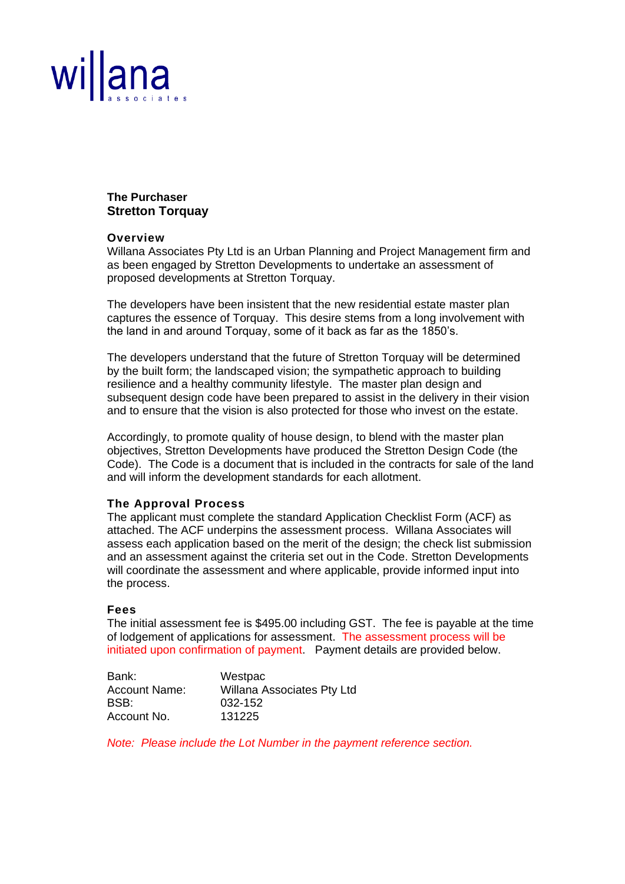

#### **The Purchaser Stretton Torquay**

#### **Overview**

Willana Associates Pty Ltd is an Urban Planning and Project Management firm and as been engaged by Stretton Developments to undertake an assessment of proposed developments at Stretton Torquay.

The developers have been insistent that the new residential estate master plan captures the essence of Torquay. This desire stems from a long involvement with the land in and around Torquay, some of it back as far as the 1850's.

The developers understand that the future of Stretton Torquay will be determined by the built form; the landscaped vision; the sympathetic approach to building resilience and a healthy community lifestyle. The master plan design and subsequent design code have been prepared to assist in the delivery in their vision and to ensure that the vision is also protected for those who invest on the estate.

Accordingly, to promote quality of house design, to blend with the master plan objectives, Stretton Developments have produced the Stretton Design Code (the Code). The Code is a document that is included in the contracts for sale of the land and will inform the development standards for each allotment.

#### **The Approval Process**

The applicant must complete the standard Application Checklist Form (ACF) as attached. The ACF underpins the assessment process. Willana Associates will assess each application based on the merit of the design; the check list submission and an assessment against the criteria set out in the Code. Stretton Developments will coordinate the assessment and where applicable, provide informed input into the process.

#### **Fees**

The initial assessment fee is \$495.00 including GST. The fee is payable at the time of lodgement of applications for assessment. The assessment process will be initiated upon confirmation of payment. Payment details are provided below.

| Bank:                | Westpac                    |
|----------------------|----------------------------|
| <b>Account Name:</b> | Willana Associates Pty Ltd |
| BSB:                 | 032-152                    |
| Account No.          | 131225                     |

*Note: Please include the Lot Number in the payment reference section.*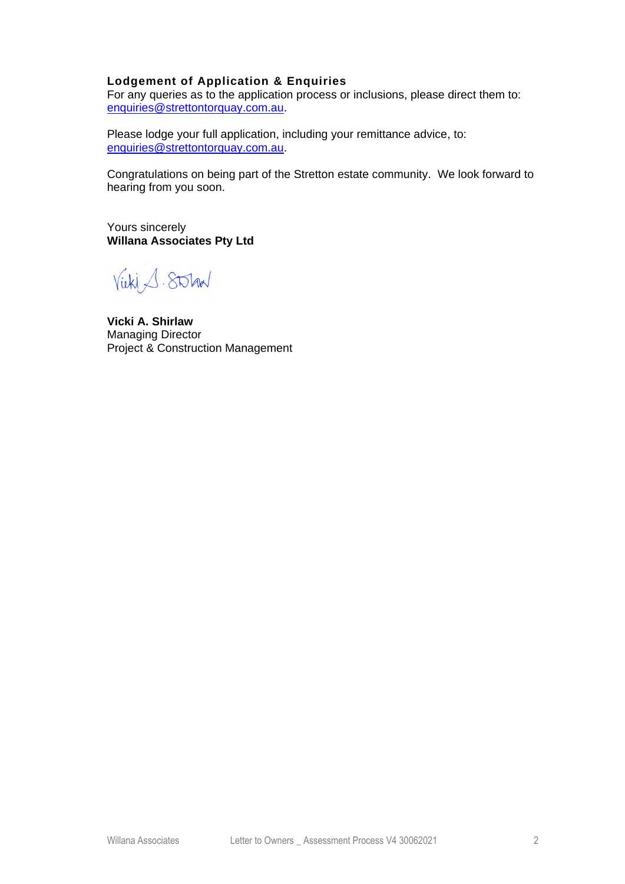### **Lodgement of Application & Enquiries**

For any queries as to the application process or inclusions, please direct them to: [enquiries@strettontorquay.com.au.](mailto:enquiries@strettontorquay.com.au)

Please lodge your full application, including your remittance advice, to: [enquiries@strettontorquay.com.au.](mailto:enquiries@strettontorquay.com.au)

Congratulations on being part of the Stretton estate community. We look forward to hearing from you soon.

Yours sincerely **Willana Associates Pty Ltd**

Vicki 1. Stolar

**Vicki A. Shirlaw** Managing Director Project & Construction Management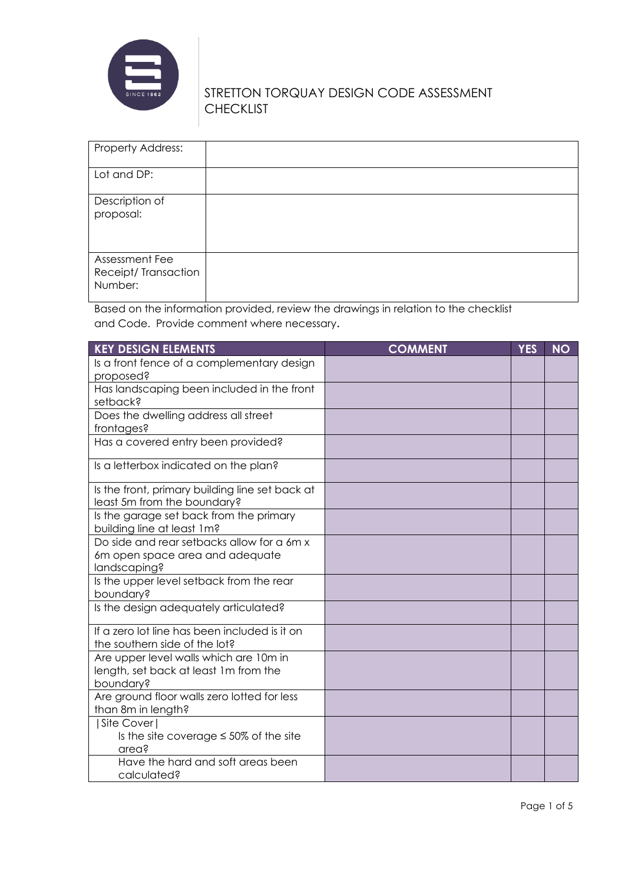

| Property Address:                                |  |
|--------------------------------------------------|--|
| Lot and DP:                                      |  |
| Description of<br>proposal:                      |  |
| Assessment Fee<br>Receipt/Transaction<br>Number: |  |

Based on the information provided, review the drawings in relation to the checklist and Code. Provide comment where necessary.

| <b>KEY DESIGN ELEMENTS</b>                                                                    | <b>COMMENT</b> | <b>YES</b> | <b>NO</b> |
|-----------------------------------------------------------------------------------------------|----------------|------------|-----------|
| Is a front fence of a complementary design<br>proposed?                                       |                |            |           |
| Has landscaping been included in the front<br>setback?                                        |                |            |           |
| Does the dwelling address all street<br>frontages?                                            |                |            |           |
| Has a covered entry been provided?                                                            |                |            |           |
| Is a letterbox indicated on the plan?                                                         |                |            |           |
| Is the front, primary building line set back at<br>least 5m from the boundary?                |                |            |           |
| Is the garage set back from the primary<br>building line at least 1m?                         |                |            |           |
| Do side and rear setbacks allow for a 6m x<br>6m open space area and adequate<br>landscaping? |                |            |           |
| Is the upper level setback from the rear<br>boundary?                                         |                |            |           |
| Is the design adequately articulated?                                                         |                |            |           |
| If a zero lot line has been included is it on<br>the southern side of the lot?                |                |            |           |
| Are upper level walls which are 10m in<br>length, set back at least 1m from the<br>boundary?  |                |            |           |
| Are ground floor walls zero lotted for less<br>than 8m in length?                             |                |            |           |
| Site Cover<br>Is the site coverage $\leq$ 50% of the site<br>area?                            |                |            |           |
| Have the hard and soft areas been<br>calculated?                                              |                |            |           |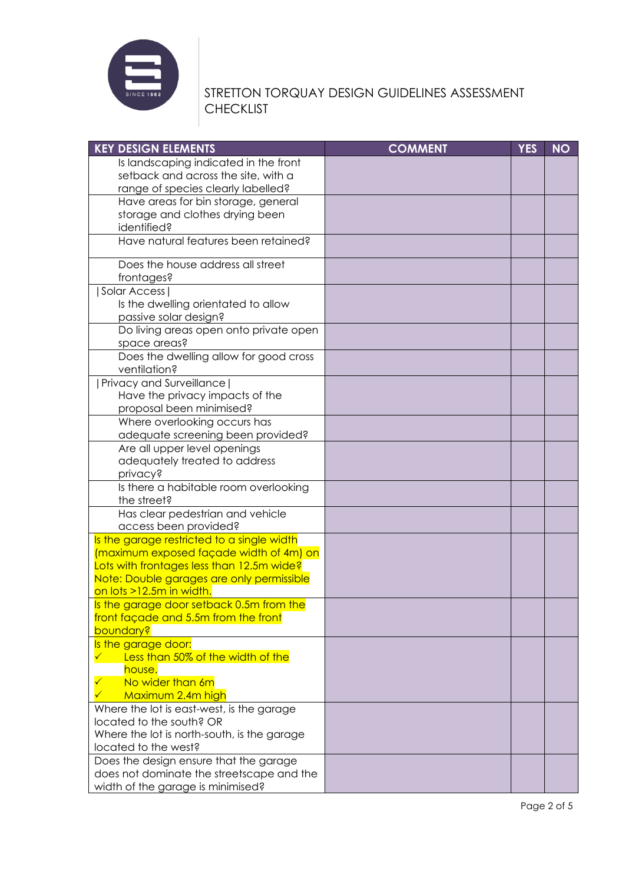

# STRETTON TORQUAY DESIGN GUIDELINES ASSESSMENT **CHECKLIST**

| <b>KEY DESIGN ELEMENTS</b>                                                            | <b>COMMENT</b> | <b>YES</b> | <b>NO</b> |
|---------------------------------------------------------------------------------------|----------------|------------|-----------|
| Is landscaping indicated in the front                                                 |                |            |           |
| setback and across the site, with a                                                   |                |            |           |
| range of species clearly labelled?                                                    |                |            |           |
| Have areas for bin storage, general                                                   |                |            |           |
| storage and clothes drying been                                                       |                |            |           |
| identified?                                                                           |                |            |           |
| Have natural features been retained?                                                  |                |            |           |
| Does the house address all street                                                     |                |            |           |
| frontages?<br>Solar Access                                                            |                |            |           |
| Is the dwelling orientated to allow                                                   |                |            |           |
| passive solar design?                                                                 |                |            |           |
| Do living areas open onto private open                                                |                |            |           |
| space areas?                                                                          |                |            |           |
| Does the dwelling allow for good cross                                                |                |            |           |
| ventilation?                                                                          |                |            |           |
| <b>Privacy and Surveillance  </b>                                                     |                |            |           |
| Have the privacy impacts of the                                                       |                |            |           |
| proposal been minimised?                                                              |                |            |           |
| Where overlooking occurs has                                                          |                |            |           |
| adequate screening been provided?                                                     |                |            |           |
| Are all upper level openings                                                          |                |            |           |
| adequately treated to address                                                         |                |            |           |
| privacy?                                                                              |                |            |           |
| Is there a habitable room overlooking                                                 |                |            |           |
| the street?                                                                           |                |            |           |
| Has clear pedestrian and vehicle                                                      |                |            |           |
| access been provided?                                                                 |                |            |           |
| Is the garage restricted to a single width<br>(maximum exposed façade width of 4m) on |                |            |           |
| Lots with frontages less than 12.5m wide?                                             |                |            |           |
| Note: Double garages are only permissible                                             |                |            |           |
| on lots >12.5m in width.                                                              |                |            |           |
| Is the garage door setback 0.5m from the                                              |                |            |           |
| front façade and 5.5m from the front                                                  |                |            |           |
| boundary?                                                                             |                |            |           |
| Is the garage door:                                                                   |                |            |           |
| Less than 50% of the width of the                                                     |                |            |           |
| house.                                                                                |                |            |           |
| No wider than 6m                                                                      |                |            |           |
| Maximum 2.4m high                                                                     |                |            |           |
| Where the lot is east-west, is the garage                                             |                |            |           |
| located to the south? OR                                                              |                |            |           |
| Where the lot is north-south, is the garage                                           |                |            |           |
| located to the west?                                                                  |                |            |           |
| Does the design ensure that the garage                                                |                |            |           |
| does not dominate the streetscape and the<br>width of the garage is minimised?        |                |            |           |
|                                                                                       |                |            |           |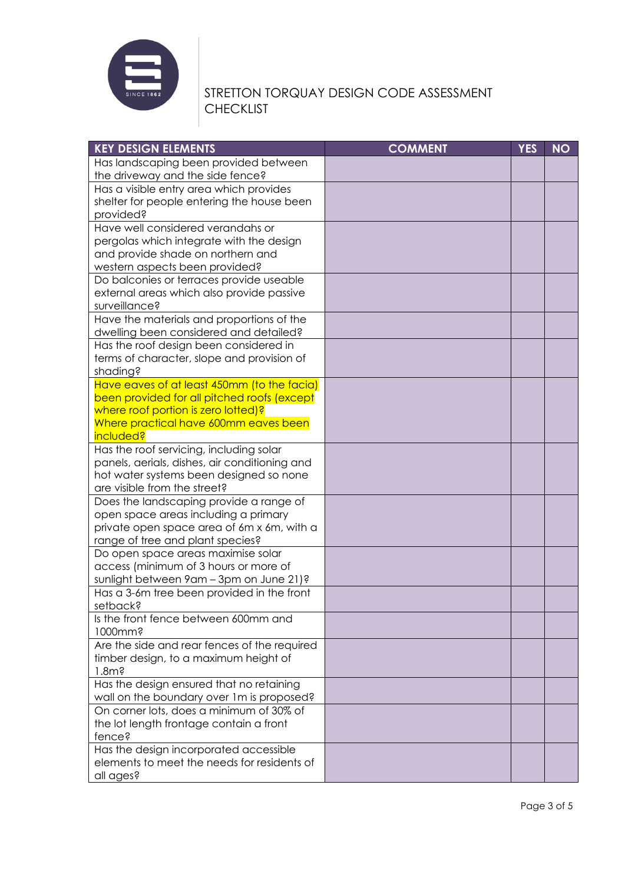

| <b>KEY DESIGN ELEMENTS</b>                             | <b>COMMENT</b> | <b>YES</b> | <b>NO</b> |
|--------------------------------------------------------|----------------|------------|-----------|
| Has landscaping been provided between                  |                |            |           |
| the driveway and the side fence?                       |                |            |           |
| Has a visible entry area which provides                |                |            |           |
| shelter for people entering the house been             |                |            |           |
| provided?                                              |                |            |           |
| Have well considered verandahs or                      |                |            |           |
| pergolas which integrate with the design               |                |            |           |
| and provide shade on northern and                      |                |            |           |
| western aspects been provided?                         |                |            |           |
| Do balconies or terraces provide useable               |                |            |           |
| external areas which also provide passive              |                |            |           |
| surveillance?                                          |                |            |           |
| Have the materials and proportions of the              |                |            |           |
| dwelling been considered and detailed?                 |                |            |           |
| Has the roof design been considered in                 |                |            |           |
| terms of character, slope and provision of             |                |            |           |
| shading?                                               |                |            |           |
| Have eaves of at least 450mm (to the facia)            |                |            |           |
| been provided for all pitched roofs (except            |                |            |           |
| where roof portion is zero lotted)?                    |                |            |           |
| Where practical have 600mm eaves been                  |                |            |           |
| <i>included?</i>                                       |                |            |           |
| Has the roof servicing, including solar                |                |            |           |
| panels, aerials, dishes, air conditioning and          |                |            |           |
| hot water systems been designed so none                |                |            |           |
| are visible from the street?                           |                |            |           |
| Does the landscaping provide a range of                |                |            |           |
| open space areas including a primary                   |                |            |           |
| private open space area of 6m x 6m, with a             |                |            |           |
| range of tree and plant species?                       |                |            |           |
| Do open space areas maximise solar                     |                |            |           |
| access (minimum of 3 hours or more of                  |                |            |           |
| sunlight between 9am - 3pm on June 21)?                |                |            |           |
| Has a 3-6m tree been provided in the front<br>setback? |                |            |           |
| Is the front fence between 600mm and                   |                |            |           |
| 1000mm?                                                |                |            |           |
| Are the side and rear fences of the required           |                |            |           |
| timber design, to a maximum height of                  |                |            |           |
| $1.8m$ ?                                               |                |            |           |
| Has the design ensured that no retaining               |                |            |           |
| wall on the boundary over 1m is proposed?              |                |            |           |
| On corner lots, does a minimum of 30% of               |                |            |           |
| the lot length frontage contain a front                |                |            |           |
| fence?                                                 |                |            |           |
| Has the design incorporated accessible                 |                |            |           |
| elements to meet the needs for residents of            |                |            |           |
| all ages?                                              |                |            |           |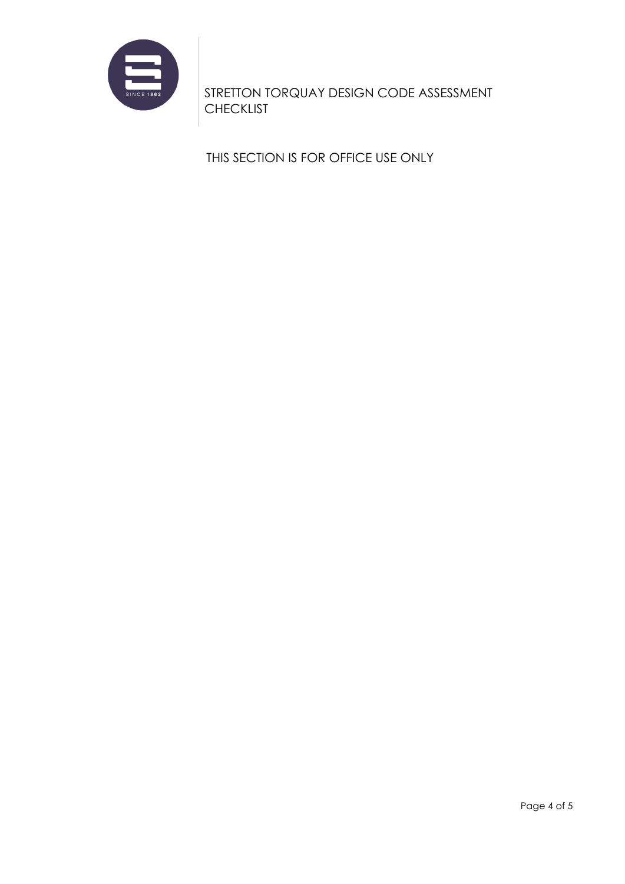

THIS SECTION IS FOR OFFICE USE ONLY